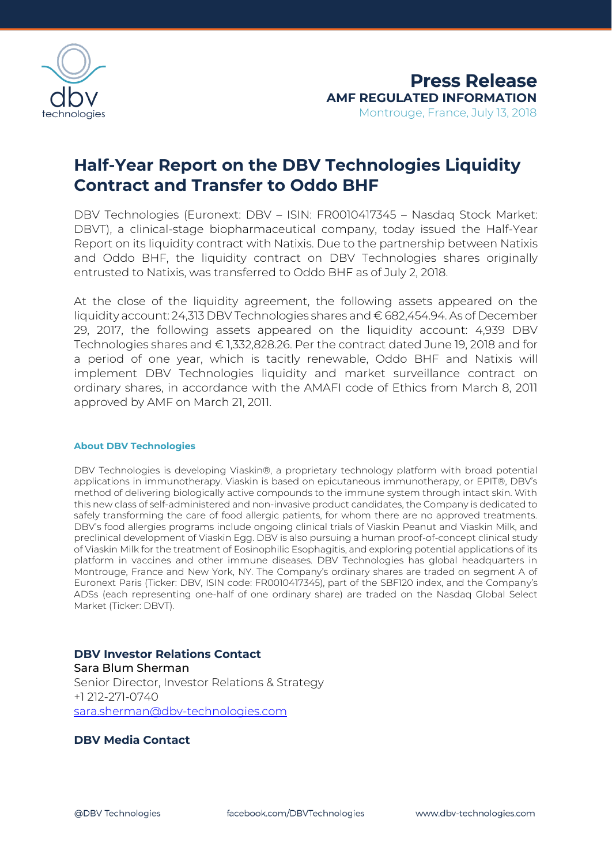

# **Half-Year Report on the DBV Technologies Liquidity Contract and Transfer to Oddo BHF**

DBV Technologies (Euronext: DBV – ISIN: FR0010417345 – Nasdaq Stock Market: DBVT), a clinical-stage biopharmaceutical company, today issued the Half-Year Report on its liquidity contract with Natixis. Due to the partnership between Natixis and Oddo BHF, the liquidity contract on DBV Technologies shares originally entrusted to Natixis, was transferred to Oddo BHF as of July 2, 2018.

At the close of the liquidity agreement, the following assets appeared on the liquidity account: 24,313 DBV Technologies shares and € 682,454.94. As of December 29, 2017, the following assets appeared on the liquidity account: 4,939 DBV Technologies shares and € 1,332,828.26. Per the contract dated June 19, 2018 and for a period of one year, which is tacitly renewable, Oddo BHF and Natixis will implement DBV Technologies liquidity and market surveillance contract on ordinary shares, in accordance with the AMAFI code of Ethics from March 8, 2011 approved by AMF on March 21, 2011.

#### **About DBV Technologies**

DBV Technologies is developing Viaskin®, a proprietary technology platform with broad potential applications in immunotherapy. Viaskin is based on epicutaneous immunotherapy, or EPIT®, DBV's method of delivering biologically active compounds to the immune system through intact skin. With this new class of self-administered and non-invasive product candidates, the Company is dedicated to safely transforming the care of food allergic patients, for whom there are no approved treatments. DBV's food allergies programs include ongoing clinical trials of Viaskin Peanut and Viaskin Milk, and preclinical development of Viaskin Egg. DBV is also pursuing a human proof-of-concept clinical study of Viaskin Milk for the treatment of Eosinophilic Esophagitis, and exploring potential applications of its platform in vaccines and other immune diseases. DBV Technologies has global headquarters in Montrouge, France and New York, NY. The Company's ordinary shares are traded on segment A of Euronext Paris (Ticker: DBV, ISIN code: FR0010417345), part of the SBF120 index, and the Company's ADSs (each representing one-half of one ordinary share) are traded on the Nasdaq Global Select Market (Ticker: DBVT).

## **DBV Investor Relations Contact**

Sara Blum Sherman Senior Director, Investor Relations & Strategy +1 212-271-0740 [sara.sherman@dbv-technologies.com](mailto:sara.sherman@dbv-technologies.com)

#### **DBV Media Contact**